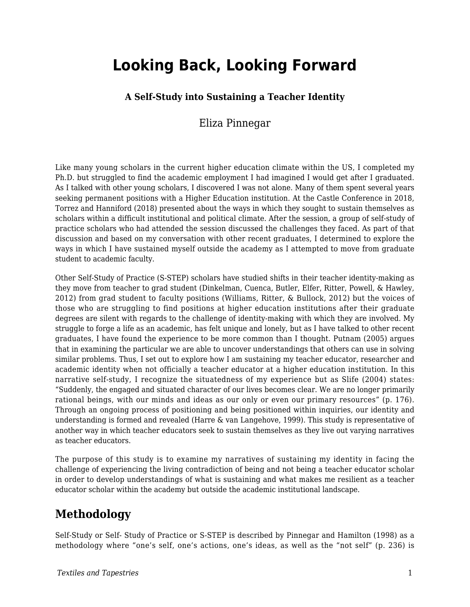# **Looking Back, Looking Forward**

## **A Self-Study into Sustaining a Teacher Identity**

# Eliza Pinnegar

Like many young scholars in the current higher education climate within the US, I completed my Ph.D. but struggled to find the academic employment I had imagined I would get after I graduated. As I talked with other young scholars, I discovered I was not alone. Many of them spent several years seeking permanent positions with a Higher Education institution. At the Castle Conference in 2018, Torrez and Hanniford (2018) presented about the ways in which they sought to sustain themselves as scholars within a difficult institutional and political climate. After the session, a group of self-study of practice scholars who had attended the session discussed the challenges they faced. As part of that discussion and based on my conversation with other recent graduates, I determined to explore the ways in which I have sustained myself outside the academy as I attempted to move from graduate student to academic faculty.

Other Self-Study of Practice (S-STEP) scholars have studied shifts in their teacher identity-making as they move from teacher to grad student (Dinkelman, Cuenca, Butler, Elfer, Ritter, Powell, & Hawley, 2012) from grad student to faculty positions (Williams, Ritter, & Bullock, 2012) but the voices of those who are struggling to find positions at higher education institutions after their graduate degrees are silent with regards to the challenge of identity-making with which they are involved. My struggle to forge a life as an academic, has felt unique and lonely, but as I have talked to other recent graduates, I have found the experience to be more common than I thought. Putnam (2005) argues that in examining the particular we are able to uncover understandings that others can use in solving similar problems. Thus, I set out to explore how I am sustaining my teacher educator, researcher and academic identity when not officially a teacher educator at a higher education institution. In this narrative self-study, I recognize the situatedness of my experience but as Slife (2004) states: "Suddenly, the engaged and situated character of our lives becomes clear. We are no longer primarily rational beings, with our minds and ideas as our only or even our primary resources" (p. 176). Through an ongoing process of positioning and being positioned within inquiries, our identity and understanding is formed and revealed (Harre & van Langehove, 1999). This study is representative of another way in which teacher educators seek to sustain themselves as they live out varying narratives as teacher educators.

The purpose of this study is to examine my narratives of sustaining my identity in facing the challenge of experiencing the living contradiction of being and not being a teacher educator scholar in order to develop understandings of what is sustaining and what makes me resilient as a teacher educator scholar within the academy but outside the academic institutional landscape.

# **Methodology**

Self-Study or Self- Study of Practice or S-STEP is described by Pinnegar and Hamilton (1998) as a methodology where "one's self, one's actions, one's ideas, as well as the "not self" (p. 236) is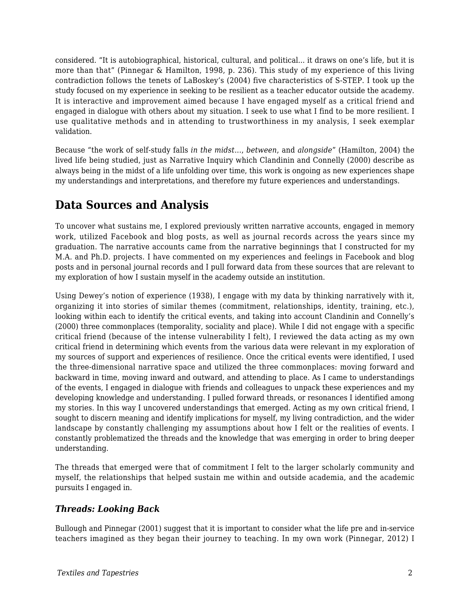considered. "It is autobiographical, historical, cultural, and political... it draws on one's life, but it is more than that" (Pinnegar & Hamilton, 1998, p. 236). This study of my experience of this living contradiction follows the tenets of LaBoskey's (2004) five characteristics of S-STEP. I took up the study focused on my experience in seeking to be resilient as a teacher educator outside the academy. It is interactive and improvement aimed because I have engaged myself as a critical friend and engaged in dialogue with others about my situation. I seek to use what I find to be more resilient. I use qualitative methods and in attending to trustworthiness in my analysis, I seek exemplar validation.

Because "the work of self-study falls *in the midst*..., *between*, and *alongside*" (Hamilton, 2004) the lived life being studied, just as Narrative Inquiry which Clandinin and Connelly (2000) describe as always being in the midst of a life unfolding over time, this work is ongoing as new experiences shape my understandings and interpretations, and therefore my future experiences and understandings.

# **Data Sources and Analysis**

To uncover what sustains me, I explored previously written narrative accounts, engaged in memory work, utilized Facebook and blog posts, as well as journal records across the years since my graduation. The narrative accounts came from the narrative beginnings that I constructed for my M.A. and Ph.D. projects. I have commented on my experiences and feelings in Facebook and blog posts and in personal journal records and I pull forward data from these sources that are relevant to my exploration of how I sustain myself in the academy outside an institution.

Using Dewey's notion of experience (1938), I engage with my data by thinking narratively with it, organizing it into stories of similar themes (commitment, relationships, identity, training, etc.), looking within each to identify the critical events, and taking into account Clandinin and Connelly's (2000) three commonplaces (temporality, sociality and place). While I did not engage with a specific critical friend (because of the intense vulnerability I felt), I reviewed the data acting as my own critical friend in determining which events from the various data were relevant in my exploration of my sources of support and experiences of resilience. Once the critical events were identified, I used the three-dimensional narrative space and utilized the three commonplaces: moving forward and backward in time, moving inward and outward, and attending to place. As I came to understandings of the events, I engaged in dialogue with friends and colleagues to unpack these experiences and my developing knowledge and understanding. I pulled forward threads, or resonances I identified among my stories. In this way I uncovered understandings that emerged. Acting as my own critical friend, I sought to discern meaning and identify implications for myself, my living contradiction, and the wider landscape by constantly challenging my assumptions about how I felt or the realities of events. I constantly problematized the threads and the knowledge that was emerging in order to bring deeper understanding.

The threads that emerged were that of commitment I felt to the larger scholarly community and myself, the relationships that helped sustain me within and outside academia, and the academic pursuits I engaged in.

### *Threads: Looking Back*

Bullough and Pinnegar (2001) suggest that it is important to consider what the life pre and in-service teachers imagined as they began their journey to teaching. In my own work (Pinnegar, 2012) I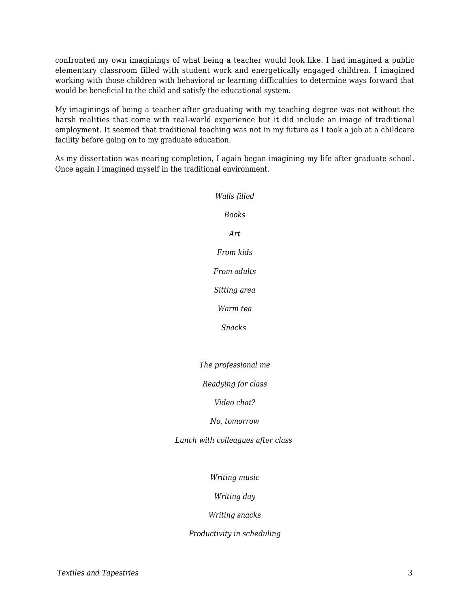confronted my own imaginings of what being a teacher would look like. I had imagined a public elementary classroom filled with student work and energetically engaged children. I imagined working with those children with behavioral or learning difficulties to determine ways forward that would be beneficial to the child and satisfy the educational system.

My imaginings of being a teacher after graduating with my teaching degree was not without the harsh realities that come with real-world experience but it did include an image of traditional employment. It seemed that traditional teaching was not in my future as I took a job at a childcare facility before going on to my graduate education.

As my dissertation was nearing completion, I again began imagining my life after graduate school. Once again I imagined myself in the traditional environment.

> *Walls filled Books Art From kids From adults Sitting area Warm tea Snacks The professional me Readying for class Video chat? No, tomorrow Lunch with colleagues after class Writing music Writing day Writing snacks Productivity in scheduling*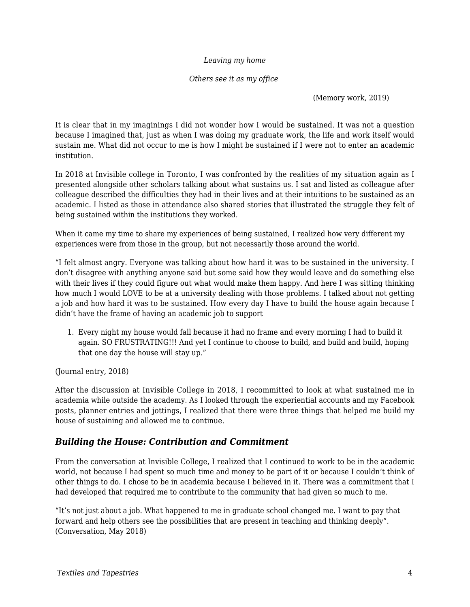#### *Leaving my home*

#### *Others see it as my office*

#### (Memory work, 2019)

It is clear that in my imaginings I did not wonder how I would be sustained. It was not a question because I imagined that, just as when I was doing my graduate work, the life and work itself would sustain me. What did not occur to me is how I might be sustained if I were not to enter an academic institution.

In 2018 at Invisible college in Toronto, I was confronted by the realities of my situation again as I presented alongside other scholars talking about what sustains us. I sat and listed as colleague after colleague described the difficulties they had in their lives and at their intuitions to be sustained as an academic. I listed as those in attendance also shared stories that illustrated the struggle they felt of being sustained within the institutions they worked.

When it came my time to share my experiences of being sustained, I realized how very different my experiences were from those in the group, but not necessarily those around the world.

"I felt almost angry. Everyone was talking about how hard it was to be sustained in the university. I don't disagree with anything anyone said but some said how they would leave and do something else with their lives if they could figure out what would make them happy. And here I was sitting thinking how much I would LOVE to be at a university dealing with those problems. I talked about not getting a job and how hard it was to be sustained. How every day I have to build the house again because I didn't have the frame of having an academic job to support

1. Every night my house would fall because it had no frame and every morning I had to build it again. SO FRUSTRATING!!! And yet I continue to choose to build, and build and build, hoping that one day the house will stay up."

(Journal entry, 2018)

After the discussion at Invisible College in 2018, I recommitted to look at what sustained me in academia while outside the academy. As I looked through the experiential accounts and my Facebook posts, planner entries and jottings, I realized that there were three things that helped me build my house of sustaining and allowed me to continue.

### *Building the House: Contribution and Commitment*

From the conversation at Invisible College, I realized that I continued to work to be in the academic world, not because I had spent so much time and money to be part of it or because I couldn't think of other things to do. I chose to be in academia because I believed in it. There was a commitment that I had developed that required me to contribute to the community that had given so much to me.

"It's not just about a job. What happened to me in graduate school changed me. I want to pay that forward and help others see the possibilities that are present in teaching and thinking deeply". (Conversation, May 2018)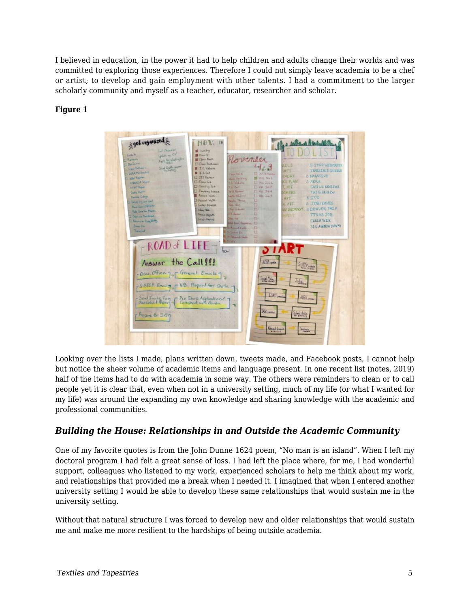I believed in education, in the power it had to help children and adults change their worlds and was committed to exploring those experiences. Therefore I could not simply leave academia to be a chef or artist; to develop and gain employment with other talents. I had a commitment to the larger scholarly community and myself as a teacher, educator, researcher and scholar.

### **Figure 1**



Looking over the lists I made, plans written down, tweets made, and Facebook posts, I cannot help but notice the sheer volume of academic items and language present. In one recent list (notes, 2019) half of the items had to do with academia in some way. The others were reminders to clean or to call people yet it is clear that, even when not in a university setting, much of my life (or what I wanted for my life) was around the expanding my own knowledge and sharing knowledge with the academic and professional communities.

### *Building the House: Relationships in and Outside the Academic Community*

One of my favorite quotes is from the John Dunne 1624 poem, "No man is an island". When I left my doctoral program I had felt a great sense of loss. I had left the place where, for me, I had wonderful support, colleagues who listened to my work, experienced scholars to help me think about my work, and relationships that provided me a break when I needed it. I imagined that when I entered another university setting I would be able to develop these same relationships that would sustain me in the university setting.

Without that natural structure I was forced to develop new and older relationships that would sustain me and make me more resilient to the hardships of being outside academia.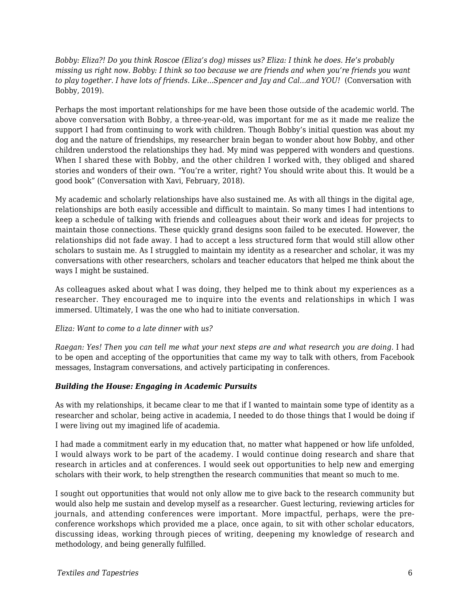*Bobby: Eliza?! Do you think Roscoe (Eliza's dog) misses us? Eliza: I think he does. He's probably missing us right now. Bobby: I think so too because we are friends and when you're friends you want to play together. I have lots of friends. Like...Spencer and Jay and Cal...and YOU!* (Conversation with Bobby, 2019).

Perhaps the most important relationships for me have been those outside of the academic world. The above conversation with Bobby, a three-year-old, was important for me as it made me realize the support I had from continuing to work with children. Though Bobby's initial question was about my dog and the nature of friendships, my researcher brain began to wonder about how Bobby, and other children understood the relationships they had. My mind was peppered with wonders and questions. When I shared these with Bobby, and the other children I worked with, they obliged and shared stories and wonders of their own. "You're a writer, right? You should write about this. It would be a good book" (Conversation with Xavi, February, 2018).

My academic and scholarly relationships have also sustained me. As with all things in the digital age, relationships are both easily accessible and difficult to maintain. So many times I had intentions to keep a schedule of talking with friends and colleagues about their work and ideas for projects to maintain those connections. These quickly grand designs soon failed to be executed. However, the relationships did not fade away. I had to accept a less structured form that would still allow other scholars to sustain me. As I struggled to maintain my identity as a researcher and scholar, it was my conversations with other researchers, scholars and teacher educators that helped me think about the ways I might be sustained.

As colleagues asked about what I was doing, they helped me to think about my experiences as a researcher. They encouraged me to inquire into the events and relationships in which I was immersed. Ultimately, I was the one who had to initiate conversation.

#### *Eliza: Want to come to a late dinner with us?*

*Raegan: Yes! Then you can tell me what your next steps are and what research you are doing.* I had to be open and accepting of the opportunities that came my way to talk with others, from Facebook messages, Instagram conversations, and actively participating in conferences.

#### *Building the House: Engaging in Academic Pursuits*

As with my relationships, it became clear to me that if I wanted to maintain some type of identity as a researcher and scholar, being active in academia, I needed to do those things that I would be doing if I were living out my imagined life of academia.

I had made a commitment early in my education that, no matter what happened or how life unfolded, I would always work to be part of the academy. I would continue doing research and share that research in articles and at conferences. I would seek out opportunities to help new and emerging scholars with their work, to help strengthen the research communities that meant so much to me.

I sought out opportunities that would not only allow me to give back to the research community but would also help me sustain and develop myself as a researcher. Guest lecturing, reviewing articles for journals, and attending conferences were important. More impactful, perhaps, were the preconference workshops which provided me a place, once again, to sit with other scholar educators, discussing ideas, working through pieces of writing, deepening my knowledge of research and methodology, and being generally fulfilled.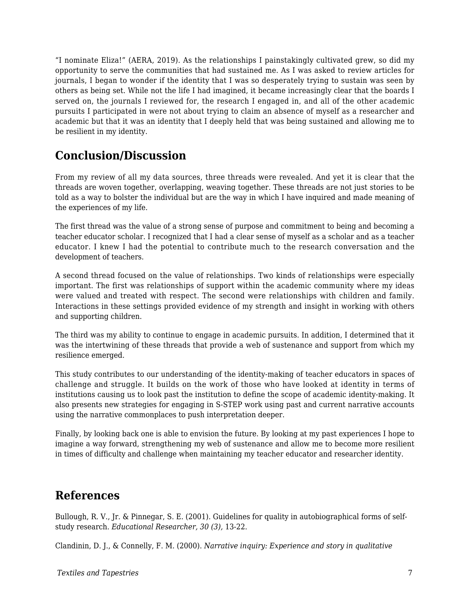"I nominate Eliza!" (AERA, 2019). As the relationships I painstakingly cultivated grew, so did my opportunity to serve the communities that had sustained me. As I was asked to review articles for journals, I began to wonder if the identity that I was so desperately trying to sustain was seen by others as being set. While not the life I had imagined, it became increasingly clear that the boards I served on, the journals I reviewed for, the research I engaged in, and all of the other academic pursuits I participated in were not about trying to claim an absence of myself as a researcher and academic but that it was an identity that I deeply held that was being sustained and allowing me to be resilient in my identity.

# **Conclusion/Discussion**

From my review of all my data sources, three threads were revealed. And yet it is clear that the threads are woven together, overlapping, weaving together. These threads are not just stories to be told as a way to bolster the individual but are the way in which I have inquired and made meaning of the experiences of my life.

The first thread was the value of a strong sense of purpose and commitment to being and becoming a teacher educator scholar. I recognized that I had a clear sense of myself as a scholar and as a teacher educator. I knew I had the potential to contribute much to the research conversation and the development of teachers.

A second thread focused on the value of relationships. Two kinds of relationships were especially important. The first was relationships of support within the academic community where my ideas were valued and treated with respect. The second were relationships with children and family. Interactions in these settings provided evidence of my strength and insight in working with others and supporting children.

The third was my ability to continue to engage in academic pursuits. In addition, I determined that it was the intertwining of these threads that provide a web of sustenance and support from which my resilience emerged.

This study contributes to our understanding of the identity-making of teacher educators in spaces of challenge and struggle. It builds on the work of those who have looked at identity in terms of institutions causing us to look past the institution to define the scope of academic identity-making. It also presents new strategies for engaging in S-STEP work using past and current narrative accounts using the narrative commonplaces to push interpretation deeper.

Finally, by looking back one is able to envision the future. By looking at my past experiences I hope to imagine a way forward, strengthening my web of sustenance and allow me to become more resilient in times of difficulty and challenge when maintaining my teacher educator and researcher identity.

# **References**

Bullough, R. V., Jr. & Pinnegar, S. E. (2001). Guidelines for quality in autobiographical forms of selfstudy research. *Educational Researcher, 30 (3),* 13-22.

Clandinin, D. J., & Connelly, F. M. (2000). *Narrative inquiry: Experience and story in qualitative*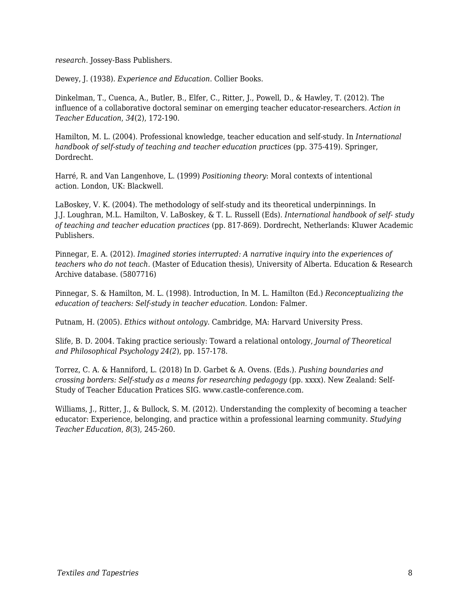*research.* Jossey-Bass Publishers.

Dewey, J. (1938). *Experience and Education*. Collier Books.

Dinkelman, T., Cuenca, A., Butler, B., Elfer, C., Ritter, J., Powell, D., & Hawley, T. (2012). The influence of a collaborative doctoral seminar on emerging teacher educator-researchers. *Action in Teacher Education*, *34*(2), 172-190.

Hamilton, M. L. (2004). Professional knowledge, teacher education and self-study. In *International handbook of self-study of teaching and teacher education practices* (pp. 375-419). Springer, Dordrecht.

Harré, R. and Van Langenhove, L. (1999) *Positioning theory*: Moral contexts of intentional action. London, UK: Blackwell.

LaBoskey, V. K. (2004). The methodology of self-study and its theoretical underpinnings. In J.J. Loughran, M.L. Hamilton, V. LaBoskey, & T. L. Russell (Eds). *International handbook of self- study of teaching and teacher education practices* (pp. 817-869). Dordrecht, Netherlands: Kluwer Academic Publishers.

Pinnegar, E. A. (2012). *Imagined stories interrupted: A narrative inquiry into the experiences of teachers who do not teach.* (Master of Education thesis), University of Alberta. Education & Research Archive database. (5807716)

Pinnegar, S. & Hamilton, M. L. (1998). Introduction, In M. L. Hamilton (Ed.) *Reconceptualizing the education of teachers: Self-study in teacher education.* London: Falmer.

Putnam, H. (2005). *Ethics without ontology.* Cambridge, MA: Harvard University Press.

Slife, B. D. 2004. Taking practice seriously: Toward a relational ontology, *Journal of Theoretical and Philosophical Psychology 24(2*), pp. 157-178.

Torrez, C. A. & Hanniford, L. (2018) In D. Garbet & A. Ovens. (Eds.). *Pushing boundaries and crossing borders: Self-study as a means for researching pedagogy* (pp. xxxx). New Zealand: Self-Study of Teacher Education Pratices SIG. www.castle-conference.com.

Williams, J., Ritter, J., & Bullock, S. M. (2012). Understanding the complexity of becoming a teacher educator: Experience, belonging, and practice within a professional learning community. *Studying Teacher Education*, *8*(3), 245-260.